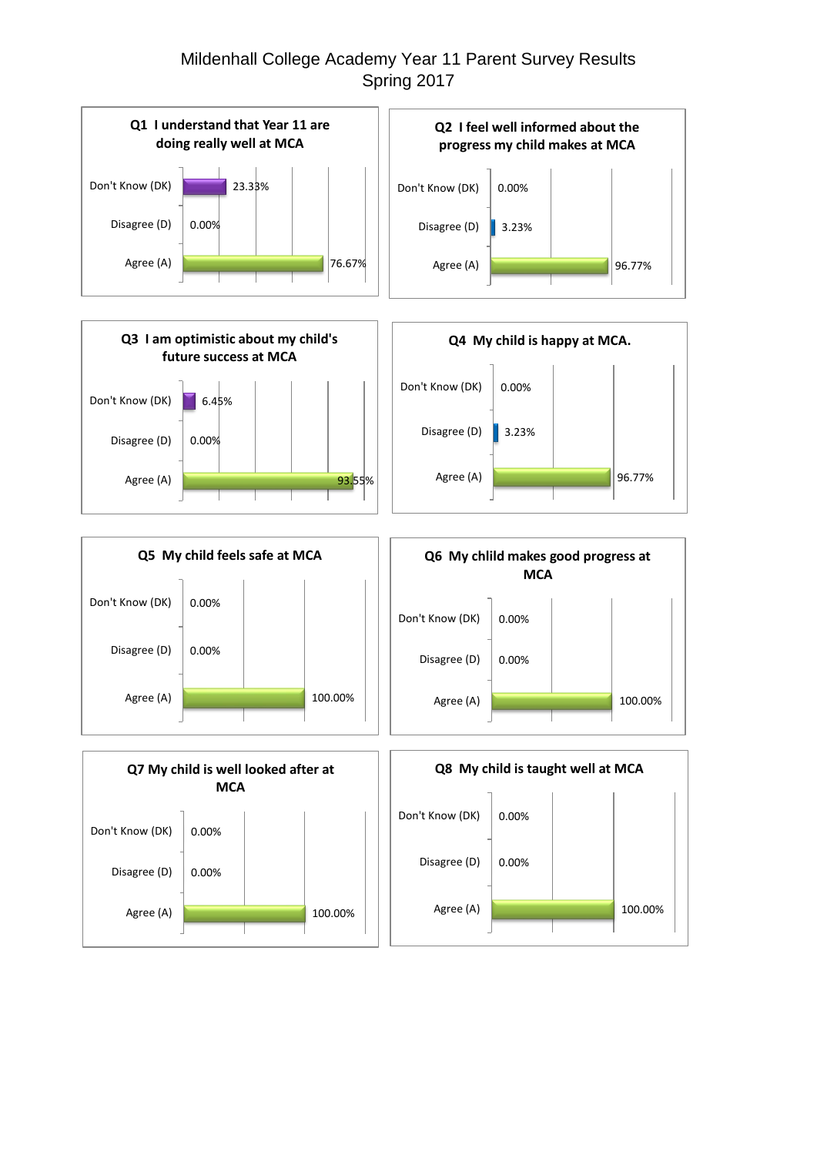## Mildenhall College Academy Year 11 Parent Survey Results Spring 2017